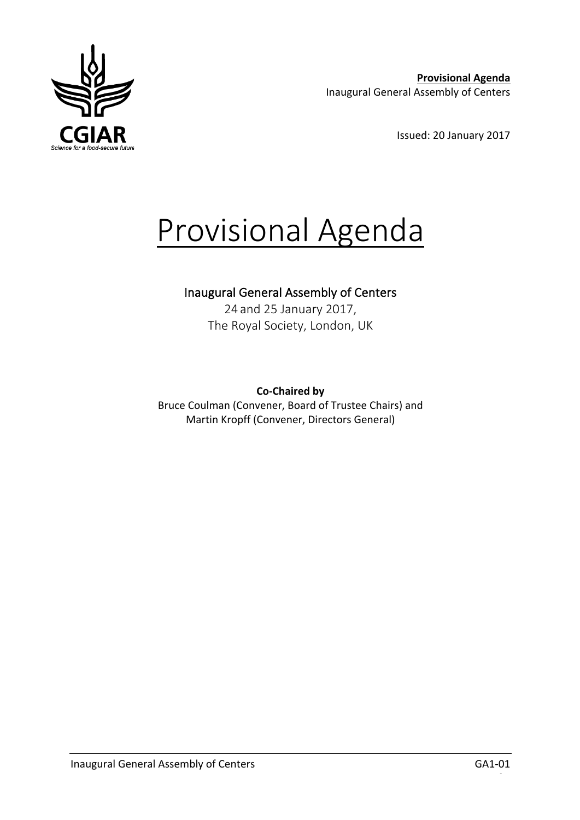

**Provisional Agenda** Inaugural General Assembly of Centers

Issued: 20 January 2017

# Provisional Agenda

## Inaugural General Assembly of Centers

24 and 25 January 2017, The Royal Society, London, UK

**Co-Chaired by**  Bruce Coulman (Convener, Board of Trustee Chairs) and Martin Kropff (Convener, Directors General)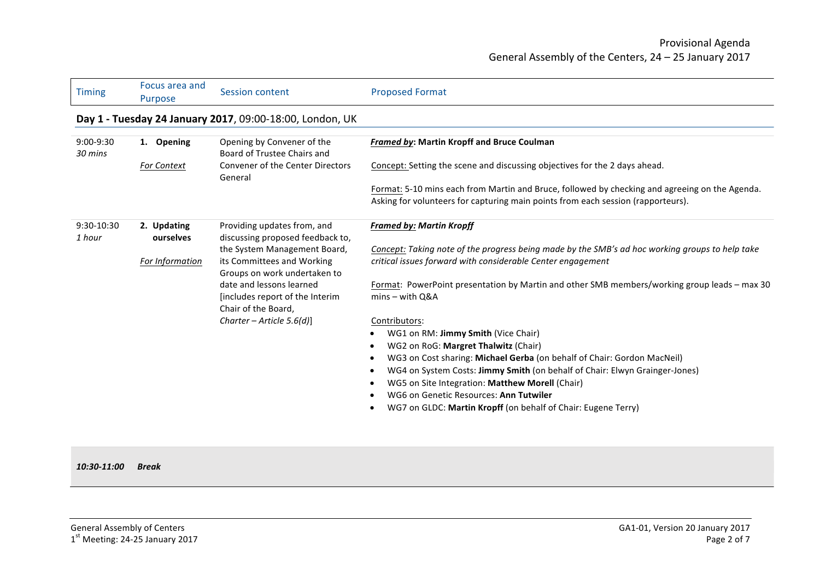| <b>Timing</b>          | Focus area and<br>Purpose | <b>Session content</b>                                                                     | <b>Proposed Format</b>                                                                                                                                                             |
|------------------------|---------------------------|--------------------------------------------------------------------------------------------|------------------------------------------------------------------------------------------------------------------------------------------------------------------------------------|
|                        |                           | Day 1 - Tuesday 24 January 2017, 09:00-18:00, London, UK                                   |                                                                                                                                                                                    |
| $9:00-9:30$<br>30 mins | 1. Opening                | Opening by Convener of the<br>Board of Trustee Chairs and                                  | <b>Framed by: Martin Kropff and Bruce Coulman</b>                                                                                                                                  |
|                        | <b>For Context</b>        | <b>Convener of the Center Directors</b><br>General                                         | Concept: Setting the scene and discussing objectives for the 2 days ahead.                                                                                                         |
|                        |                           |                                                                                            | Format: 5-10 mins each from Martin and Bruce, followed by checking and agreeing on the Agenda.<br>Asking for volunteers for capturing main points from each session (rapporteurs). |
| 9:30-10:30<br>1 hour   | 2. Updating<br>ourselves  | Providing updates from, and<br>discussing proposed feedback to,                            | <b>Framed by: Martin Kropff</b>                                                                                                                                                    |
|                        | For Information           | the System Management Board,<br>its Committees and Working<br>Groups on work undertaken to | Concept: Taking note of the progress being made by the SMB's ad hoc working groups to help take<br>critical issues forward with considerable Center engagement                     |
|                        |                           | date and lessons learned<br>[includes report of the Interim]<br>Chair of the Board,        | Format: PowerPoint presentation by Martin and other SMB members/working group leads - max 30<br>$mins - with Q&A$                                                                  |
|                        |                           | Charter - Article $5.6(d)$ ]                                                               | Contributors:                                                                                                                                                                      |
|                        |                           |                                                                                            | WG1 on RM: Jimmy Smith (Vice Chair)                                                                                                                                                |
|                        |                           |                                                                                            | WG2 on RoG: Margret Thalwitz (Chair)                                                                                                                                               |
|                        |                           |                                                                                            | WG3 on Cost sharing: Michael Gerba (on behalf of Chair: Gordon MacNeil)<br>WG4 on System Costs: Jimmy Smith (on behalf of Chair: Elwyn Grainger-Jones)                             |
|                        |                           |                                                                                            | WG5 on Site Integration: Matthew Morell (Chair)                                                                                                                                    |
|                        |                           |                                                                                            | WG6 on Genetic Resources: Ann Tutwiler                                                                                                                                             |
|                        |                           |                                                                                            | WG7 on GLDC: Martin Kropff (on behalf of Chair: Eugene Terry)                                                                                                                      |
|                        |                           |                                                                                            |                                                                                                                                                                                    |

#### *10:30-11:00 Break*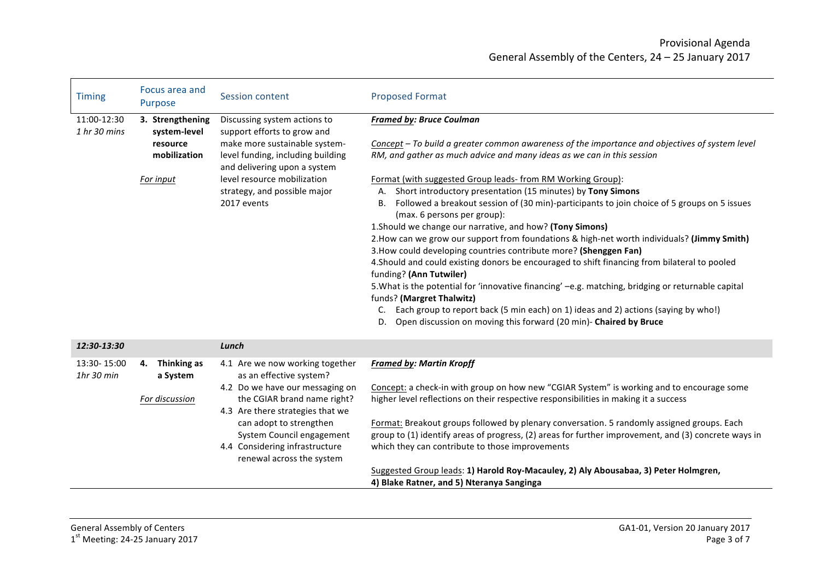## Provisional Agenda General Assembly of the Centers, 24 - 25 January 2017

| <b>Timing</b>                 | Focus area and<br>Purpose                                                 | Session content                                                                                                                                                                                                                                                                         | <b>Proposed Format</b>                                                                                                                                                                                                                                                                                                                                                                                                                                                                                                                                                                                                                                                                                                                                                                                                                                                                                                                                                                                                                                                                                                                                  |
|-------------------------------|---------------------------------------------------------------------------|-----------------------------------------------------------------------------------------------------------------------------------------------------------------------------------------------------------------------------------------------------------------------------------------|---------------------------------------------------------------------------------------------------------------------------------------------------------------------------------------------------------------------------------------------------------------------------------------------------------------------------------------------------------------------------------------------------------------------------------------------------------------------------------------------------------------------------------------------------------------------------------------------------------------------------------------------------------------------------------------------------------------------------------------------------------------------------------------------------------------------------------------------------------------------------------------------------------------------------------------------------------------------------------------------------------------------------------------------------------------------------------------------------------------------------------------------------------|
| 11:00-12:30<br>$1$ hr 30 mins | 3. Strengthening<br>system-level<br>resource<br>mobilization<br>For input | Discussing system actions to<br>support efforts to grow and<br>make more sustainable system-<br>level funding, including building<br>and delivering upon a system<br>level resource mobilization<br>strategy, and possible major<br>2017 events                                         | <b>Framed by: Bruce Coulman</b><br>Concept - To build a greater common awareness of the importance and objectives of system level<br>RM, and gather as much advice and many ideas as we can in this session<br>Format (with suggested Group leads- from RM Working Group):<br>A. Short introductory presentation (15 minutes) by Tony Simons<br>Followed a breakout session of (30 min)-participants to join choice of 5 groups on 5 issues<br>В.<br>(max. 6 persons per group):<br>1. Should we change our narrative, and how? (Tony Simons)<br>2. How can we grow our support from foundations & high-net worth individuals? (Jimmy Smith)<br>3. How could developing countries contribute more? (Shenggen Fan)<br>4. Should and could existing donors be encouraged to shift financing from bilateral to pooled<br>funding? (Ann Tutwiler)<br>5. What is the potential for 'innovative financing' -e.g. matching, bridging or returnable capital<br>funds? (Margret Thalwitz)<br>Each group to report back (5 min each) on 1) ideas and 2) actions (saying by who!)<br>C.<br>Open discussion on moving this forward (20 min)- Chaired by Bruce<br>D. |
| 12:30-13:30                   |                                                                           | Lunch                                                                                                                                                                                                                                                                                   |                                                                                                                                                                                                                                                                                                                                                                                                                                                                                                                                                                                                                                                                                                                                                                                                                                                                                                                                                                                                                                                                                                                                                         |
| 13:30-15:00<br>$1hr$ 30 min   | Thinking as<br>4.<br>a System<br>For discussion                           | 4.1 Are we now working together<br>as an effective system?<br>4.2 Do we have our messaging on<br>the CGIAR brand name right?<br>4.3 Are there strategies that we<br>can adopt to strengthen<br>System Council engagement<br>4.4 Considering infrastructure<br>renewal across the system | <b>Framed by: Martin Kropff</b><br>Concept: a check-in with group on how new "CGIAR System" is working and to encourage some<br>higher level reflections on their respective responsibilities in making it a success<br>Format: Breakout groups followed by plenary conversation. 5 randomly assigned groups. Each<br>group to (1) identify areas of progress, (2) areas for further improvement, and (3) concrete ways in<br>which they can contribute to those improvements<br>Suggested Group leads: 1) Harold Roy-Macauley, 2) Aly Abousabaa, 3) Peter Holmgren,                                                                                                                                                                                                                                                                                                                                                                                                                                                                                                                                                                                    |

**4) Blake Ratner, and 5) Nteranya Sanginga**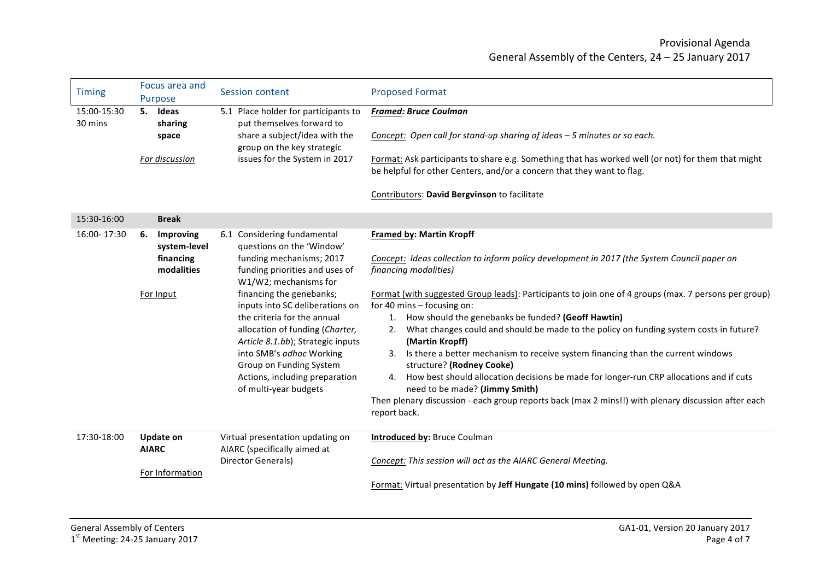| <b>Timing</b>          | Focus area and<br>Purpose                                               | <b>Session content</b>                                                                                                                                                                                                                                                                                                                                                                                                                  | <b>Proposed Format</b>                                                                                                                                                                                                                                                                                                                                                                                                                                                                                                                                                                                                                                                                                                                                                                                                                                        |
|------------------------|-------------------------------------------------------------------------|-----------------------------------------------------------------------------------------------------------------------------------------------------------------------------------------------------------------------------------------------------------------------------------------------------------------------------------------------------------------------------------------------------------------------------------------|---------------------------------------------------------------------------------------------------------------------------------------------------------------------------------------------------------------------------------------------------------------------------------------------------------------------------------------------------------------------------------------------------------------------------------------------------------------------------------------------------------------------------------------------------------------------------------------------------------------------------------------------------------------------------------------------------------------------------------------------------------------------------------------------------------------------------------------------------------------|
| 15:00-15:30<br>30 mins | 5. Ideas<br>sharing<br>space<br>For discussion                          | 5.1 Place holder for participants to<br>put themselves forward to<br>share a subject/idea with the<br>group on the key strategic<br>issues for the System in 2017                                                                                                                                                                                                                                                                       | <b>Framed: Bruce Coulman</b><br>Concept: Open call for stand-up sharing of ideas - 5 minutes or so each.<br>Format: Ask participants to share e.g. Something that has worked well (or not) for them that might<br>be helpful for other Centers, and/or a concern that they want to flag.<br>Contributors: David Bergvinson to facilitate                                                                                                                                                                                                                                                                                                                                                                                                                                                                                                                      |
| 15:30-16:00            | <b>Break</b>                                                            |                                                                                                                                                                                                                                                                                                                                                                                                                                         |                                                                                                                                                                                                                                                                                                                                                                                                                                                                                                                                                                                                                                                                                                                                                                                                                                                               |
| 16:00-17:30            | Improving<br>6.<br>system-level<br>financing<br>modalities<br>For Input | 6.1 Considering fundamental<br>questions on the 'Window'<br>funding mechanisms; 2017<br>funding priorities and uses of<br>W1/W2; mechanisms for<br>financing the genebanks;<br>inputs into SC deliberations on<br>the criteria for the annual<br>allocation of funding (Charter,<br>Article 8.1.bb); Strategic inputs<br>into SMB's adhoc Working<br>Group on Funding System<br>Actions, including preparation<br>of multi-year budgets | <b>Framed by: Martin Kropff</b><br>Concept: Ideas collection to inform policy development in 2017 (the System Council paper on<br>financing modalities)<br>Format (with suggested Group leads): Participants to join one of 4 groups (max. 7 persons per group)<br>for 40 mins - focusing on:<br>How should the genebanks be funded? (Geoff Hawtin)<br>1.<br>What changes could and should be made to the policy on funding system costs in future?<br>2.<br>(Martin Kropff)<br>Is there a better mechanism to receive system financing than the current windows<br>3.<br>structure? (Rodney Cooke)<br>How best should allocation decisions be made for longer-run CRP allocations and if cuts<br>4.<br>need to be made? (Jimmy Smith)<br>Then plenary discussion - each group reports back (max 2 mins!!) with plenary discussion after each<br>report back. |
| 17:30-18:00            | <b>Update on</b><br><b>AIARC</b><br>For Information                     | Virtual presentation updating on<br>AIARC (specifically aimed at<br>Director Generals)                                                                                                                                                                                                                                                                                                                                                  | <b>Introduced by: Bruce Coulman</b><br>Concept: This session will act as the AIARC General Meeting.<br>Format: Virtual presentation by Jeff Hungate (10 mins) followed by open Q&A                                                                                                                                                                                                                                                                                                                                                                                                                                                                                                                                                                                                                                                                            |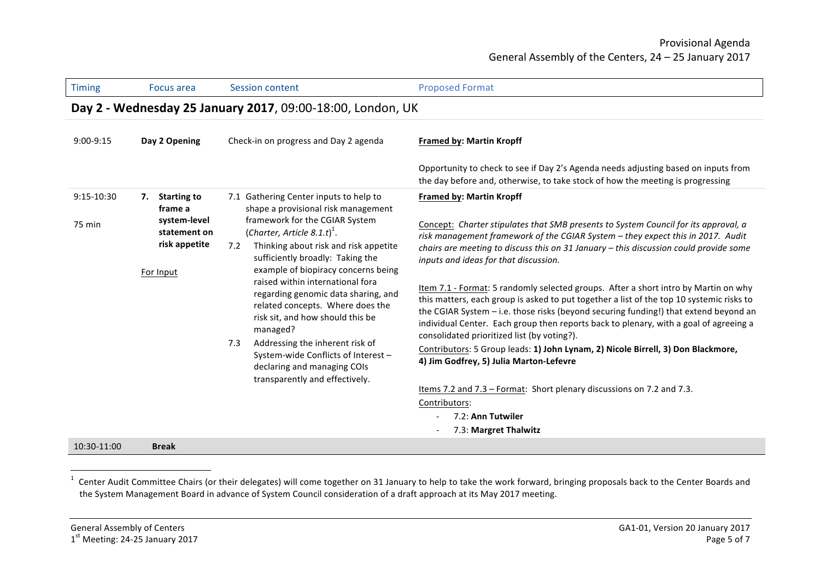| Timing               | Focus area                                                                              | <b>Session content</b>                                                                                                                                                                                                                                                                                                                                                                                                                                                                                                                                                                                 | <b>Proposed Format</b>                                                                                                                                                                                                                                                                                                                                                                                                                                                                                                                                                                                                                                                                                                                                                                                                                                                                                                                                                                                                                  |  |  |
|----------------------|-----------------------------------------------------------------------------------------|--------------------------------------------------------------------------------------------------------------------------------------------------------------------------------------------------------------------------------------------------------------------------------------------------------------------------------------------------------------------------------------------------------------------------------------------------------------------------------------------------------------------------------------------------------------------------------------------------------|-----------------------------------------------------------------------------------------------------------------------------------------------------------------------------------------------------------------------------------------------------------------------------------------------------------------------------------------------------------------------------------------------------------------------------------------------------------------------------------------------------------------------------------------------------------------------------------------------------------------------------------------------------------------------------------------------------------------------------------------------------------------------------------------------------------------------------------------------------------------------------------------------------------------------------------------------------------------------------------------------------------------------------------------|--|--|
|                      | Day 2 - Wednesday 25 January 2017, 09:00-18:00, London, UK                              |                                                                                                                                                                                                                                                                                                                                                                                                                                                                                                                                                                                                        |                                                                                                                                                                                                                                                                                                                                                                                                                                                                                                                                                                                                                                                                                                                                                                                                                                                                                                                                                                                                                                         |  |  |
| $9:00-9:15$          | Day 2 Opening                                                                           | Check-in on progress and Day 2 agenda                                                                                                                                                                                                                                                                                                                                                                                                                                                                                                                                                                  | <b>Framed by: Martin Kropff</b>                                                                                                                                                                                                                                                                                                                                                                                                                                                                                                                                                                                                                                                                                                                                                                                                                                                                                                                                                                                                         |  |  |
|                      |                                                                                         |                                                                                                                                                                                                                                                                                                                                                                                                                                                                                                                                                                                                        | Opportunity to check to see if Day 2's Agenda needs adjusting based on inputs from<br>the day before and, otherwise, to take stock of how the meeting is progressing                                                                                                                                                                                                                                                                                                                                                                                                                                                                                                                                                                                                                                                                                                                                                                                                                                                                    |  |  |
| 9:15-10:30<br>75 min | 7. Starting to<br>frame a<br>system-level<br>statement on<br>risk appetite<br>For Input | 7.1 Gathering Center inputs to help to<br>shape a provisional risk management<br>framework for the CGIAR System<br>(Charter, Article 8.1.t) <sup>1</sup> .<br>Thinking about risk and risk appetite<br>7.2<br>sufficiently broadly: Taking the<br>example of biopiracy concerns being<br>raised within international fora<br>regarding genomic data sharing, and<br>related concepts. Where does the<br>risk sit, and how should this be<br>managed?<br>Addressing the inherent risk of<br>7.3<br>System-wide Conflicts of Interest -<br>declaring and managing COIs<br>transparently and effectively. | <b>Framed by: Martin Kropff</b><br>Concept: Charter stipulates that SMB presents to System Council for its approval, a<br>risk management framework of the CGIAR System - they expect this in 2017. Audit<br>chairs are meeting to discuss this on 31 January $-$ this discussion could provide some<br>inputs and ideas for that discussion.<br>Item 7.1 - Format: 5 randomly selected groups. After a short intro by Martin on why<br>this matters, each group is asked to put together a list of the top 10 systemic risks to<br>the CGIAR System - i.e. those risks (beyond securing funding!) that extend beyond an<br>individual Center. Each group then reports back to plenary, with a goal of agreeing a<br>consolidated prioritized list (by voting?).<br>Contributors: 5 Group leads: 1) John Lynam, 2) Nicole Birrell, 3) Don Blackmore,<br>4) Jim Godfrey, 5) Julia Marton-Lefevre<br>Items 7.2 and 7.3 - Format: Short plenary discussions on 7.2 and 7.3.<br>Contributors:<br>7.2: Ann Tutwiler<br>7.3: Margret Thalwitz |  |  |
| 10:30-11:00          | <b>Break</b>                                                                            |                                                                                                                                                                                                                                                                                                                                                                                                                                                                                                                                                                                                        |                                                                                                                                                                                                                                                                                                                                                                                                                                                                                                                                                                                                                                                                                                                                                                                                                                                                                                                                                                                                                                         |  |  |

 $1$  Center Audit Committee Chairs (or their delegates) will come together on 31 January to help to take the work forward, bringing proposals back to the Center Boards and the System Management Board in advance of System Council consideration of a draft approach at its May 2017 meeting.

 $1<sup>st</sup>$  Meeting: 24-25 January 2017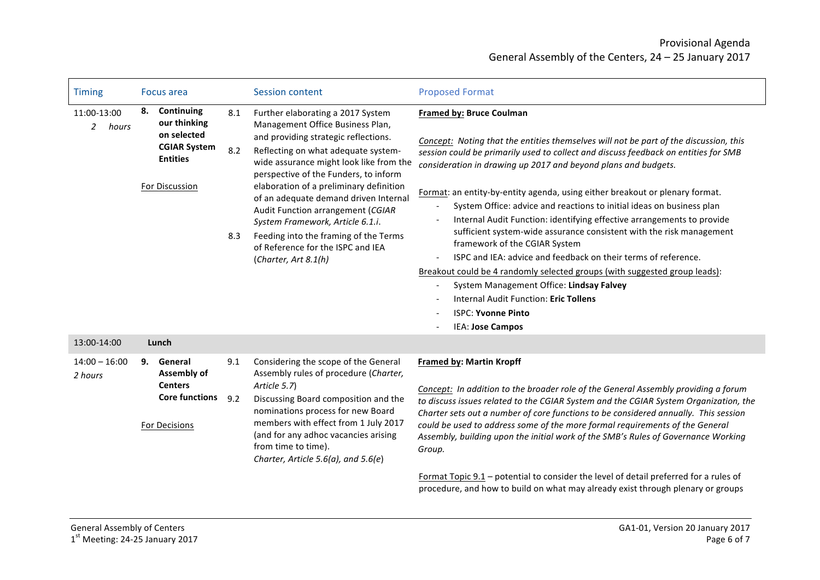| <b>Timing</b>                          | Focus area                                                                                               |                   | <b>Session content</b>                                                                                                                                                                                                                                                                                                                                                                                                                                                                                      | <b>Proposed Format</b>                                                                                                                                                                                                                                                                                                                                                                                                                                                                                                                                                                                                                                                                                                                                                                                                                                                                                              |
|----------------------------------------|----------------------------------------------------------------------------------------------------------|-------------------|-------------------------------------------------------------------------------------------------------------------------------------------------------------------------------------------------------------------------------------------------------------------------------------------------------------------------------------------------------------------------------------------------------------------------------------------------------------------------------------------------------------|---------------------------------------------------------------------------------------------------------------------------------------------------------------------------------------------------------------------------------------------------------------------------------------------------------------------------------------------------------------------------------------------------------------------------------------------------------------------------------------------------------------------------------------------------------------------------------------------------------------------------------------------------------------------------------------------------------------------------------------------------------------------------------------------------------------------------------------------------------------------------------------------------------------------|
| 11:00-13:00<br>hours<br>$\overline{2}$ | 8. Continuing<br>our thinking<br>on selected<br><b>CGIAR System</b><br><b>Entities</b><br>For Discussion | 8.1<br>8.2<br>8.3 | Further elaborating a 2017 System<br>Management Office Business Plan,<br>and providing strategic reflections.<br>Reflecting on what adequate system-<br>wide assurance might look like from the<br>perspective of the Funders, to inform<br>elaboration of a preliminary definition<br>of an adequate demand driven Internal<br>Audit Function arrangement (CGIAR<br>System Framework, Article 6.1.i.<br>Feeding into the framing of the Terms<br>of Reference for the ISPC and IEA<br>(Charter, Art 8.1(h) | <b>Framed by: Bruce Coulman</b><br>Concept: Noting that the entities themselves will not be part of the discussion, this<br>session could be primarily used to collect and discuss feedback on entities for SMB<br>consideration in drawing up 2017 and beyond plans and budgets.<br>Format: an entity-by-entity agenda, using either breakout or plenary format.<br>System Office: advice and reactions to initial ideas on business plan<br>Internal Audit Function: identifying effective arrangements to provide<br>sufficient system-wide assurance consistent with the risk management<br>framework of the CGIAR System<br>ISPC and IEA: advice and feedback on their terms of reference.<br>Breakout could be 4 randomly selected groups (with suggested group leads):<br>System Management Office: Lindsay Falvey<br>Internal Audit Function: Eric Tollens<br><b>ISPC: Yvonne Pinto</b><br>IEA: Jose Campos |
| 13:00-14:00                            | Lunch                                                                                                    |                   |                                                                                                                                                                                                                                                                                                                                                                                                                                                                                                             |                                                                                                                                                                                                                                                                                                                                                                                                                                                                                                                                                                                                                                                                                                                                                                                                                                                                                                                     |
| $14:00 - 16:00$<br>2 hours             | 9. General<br>Assembly of<br><b>Centers</b><br><b>Core functions</b><br><b>For Decisions</b>             | 9.1<br>9.2        | Considering the scope of the General<br>Assembly rules of procedure (Charter,<br>Article 5.7)<br>Discussing Board composition and the<br>nominations process for new Board<br>members with effect from 1 July 2017<br>(and for any adhoc vacancies arising<br>from time to time).<br>Charter, Article 5.6(a), and 5.6(e)                                                                                                                                                                                    | <b>Framed by: Martin Kropff</b><br>Concept: In addition to the broader role of the General Assembly providing a forum<br>to discuss issues related to the CGIAR System and the CGIAR System Organization, the<br>Charter sets out a number of core functions to be considered annually. This session<br>could be used to address some of the more formal requirements of the General<br>Assembly, building upon the initial work of the SMB's Rules of Governance Working<br>Group.<br>Format Topic 9.1 – potential to consider the level of detail preferred for a rules of                                                                                                                                                                                                                                                                                                                                        |

Format Topic  $9.1$  – potential to consider the level of detail preferred for a rules of procedure, and how to build on what may already exist through plenary or groups